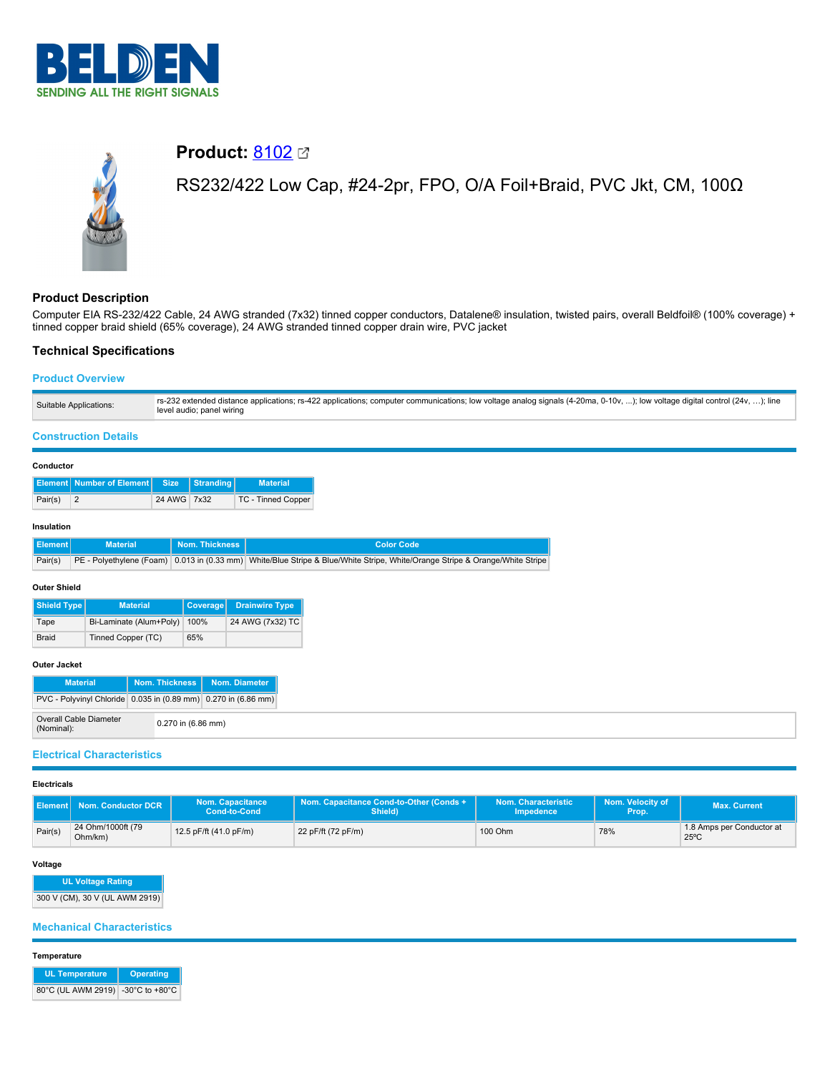



# **Product: [8102](https://catalog.belden.com/index.cfm?event=pd&p=PF_8102&tab=downloads) 22**

RS232/422 Low Cap, #24-2pr, FPO, O/A Foil+Braid, PVC Jkt, CM, 100Ω

# **Product Description**

Computer EIA RS-232/422 Cable, 24 AWG stranded (7x32) tinned copper conductors, Datalene® insulation, twisted pairs, overall Beldfoil® (100% coverage) + tinned copper braid shield (65% coverage), 24 AWG stranded tinned copper drain wire, PVC jacket

# **Technical Specifications**

# **Product Overview**

## **Construction Details**

## **Conductor**

|         | Element Number of Element Size Stranding |             | <b>Material</b>    |
|---------|------------------------------------------|-------------|--------------------|
| Pair(s) |                                          | 24 AWG 7x32 | TC - Tinned Copper |

## **Insulation**

| Element <sup>1</sup> | <b>Material</b> | <b>Nom. Thickness</b> I | Color Code                                                                                                                   |
|----------------------|-----------------|-------------------------|------------------------------------------------------------------------------------------------------------------------------|
| Pair(s)              |                 |                         | PE - Polyethylene (Foam) 0.013 in (0.33 mm) White/Blue Stripe & Blue/White Stripe, White/Orange Stripe & Orange/White Stripe |

#### **Outer Shield**

| Shield Type  | <b>Material</b>         | <b>Coverage</b> | <b>Drainwire Type</b> |  |
|--------------|-------------------------|-----------------|-----------------------|--|
| Tape         | Bi-Laminate (Alum+Poly) | 100%            | 24 AWG (7x32) TC      |  |
| <b>Braid</b> | Tinned Copper (TC)      | 65%             |                       |  |

## **Outer Jacket**

| <b>Material</b>                                                | Nom. Thickness |                    | Nom. Diameter |  |
|----------------------------------------------------------------|----------------|--------------------|---------------|--|
| PVC - Polyvinyl Chloride 0.035 in (0.89 mm) 0.270 in (6.86 mm) |                |                    |               |  |
| Overall Cable Diameter<br>(Nominal):                           |                | 0.270 in (6.86 mm) |               |  |

# **Electrical Characteristics**

## **Electricals**

| l Element l | Nom. Conductor DCR           | Nom. Capacitance<br>Cond-to-Cond | Nom. Capacitance Cond-to-Other (Conds +<br>Shield) | Nom. Characteristic<br>Impedence | Nom. Velocity of<br>Prop. | <b>Max. Current</b>                         |
|-------------|------------------------------|----------------------------------|----------------------------------------------------|----------------------------------|---------------------------|---------------------------------------------|
| Pair(s)     | 24 Ohm/1000ft (79<br>Ohm/km) | 12.5 pF/ft (41.0 pF/m)           | 22 pF/ft (72 pF/m)                                 | 100 Ohm                          | 78%                       | 1.8 Amps per Conductor at<br>$25^{\circ}$ C |

#### **Voltage**

| <b>UL Voltage Rating</b>       |  |  |  |  |  |  |  |
|--------------------------------|--|--|--|--|--|--|--|
| 300 V (CM), 30 V (UL AWM 2919) |  |  |  |  |  |  |  |

# **Mechanical Characteristics**

#### **Temperature**

| <b>UL Temperature</b>             | Operating |
|-----------------------------------|-----------|
| 80°C (UL AWM 2919) -30°C to +80°C |           |